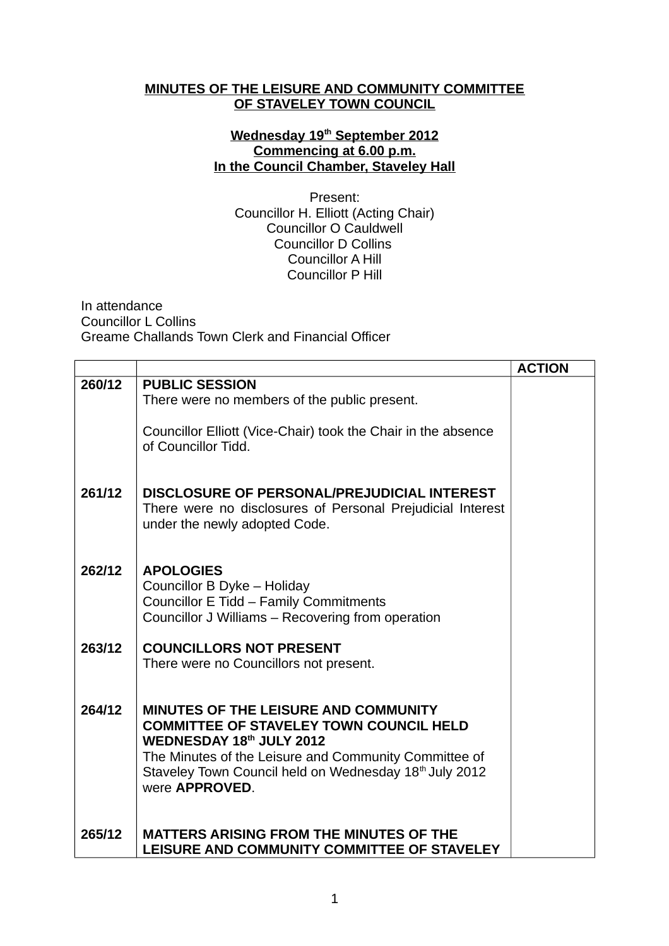## **MINUTES OF THE LEISURE AND COMMUNITY COMMITTEE OF STAVELEY TOWN COUNCIL**

## **Wednesday 19th September 2012 Commencing at 6.00 p.m. In the Council Chamber, Staveley Hall**

Present: Councillor H. Elliott (Acting Chair) Councillor O Cauldwell Councillor D Collins Councillor A Hill Councillor P Hill

In attendance Councillor L Collins Greame Challands Town Clerk and Financial Officer

|        |                                                                                                                                                                                                                                                                 | <b>ACTION</b> |
|--------|-----------------------------------------------------------------------------------------------------------------------------------------------------------------------------------------------------------------------------------------------------------------|---------------|
| 260/12 | <b>PUBLIC SESSION</b><br>There were no members of the public present.<br>Councillor Elliott (Vice-Chair) took the Chair in the absence<br>of Councillor Tidd.                                                                                                   |               |
| 261/12 | DISCLOSURE OF PERSONAL/PREJUDICIAL INTEREST<br>There were no disclosures of Personal Prejudicial Interest<br>under the newly adopted Code.                                                                                                                      |               |
| 262/12 | <b>APOLOGIES</b><br>Councillor B Dyke - Holiday<br>Councillor E Tidd - Family Commitments<br>Councillor J Williams - Recovering from operation                                                                                                                  |               |
| 263/12 | <b>COUNCILLORS NOT PRESENT</b><br>There were no Councillors not present.                                                                                                                                                                                        |               |
| 264/12 | MINUTES OF THE LEISURE AND COMMUNITY<br><b>COMMITTEE OF STAVELEY TOWN COUNCIL HELD</b><br>WEDNESDAY 18th JULY 2012<br>The Minutes of the Leisure and Community Committee of<br>Staveley Town Council held on Wednesday 18th July 2012<br>were <b>APPROVED</b> . |               |
| 265/12 | <b>MATTERS ARISING FROM THE MINUTES OF THE</b><br>LEISURE AND COMMUNITY COMMITTEE OF STAVELEY                                                                                                                                                                   |               |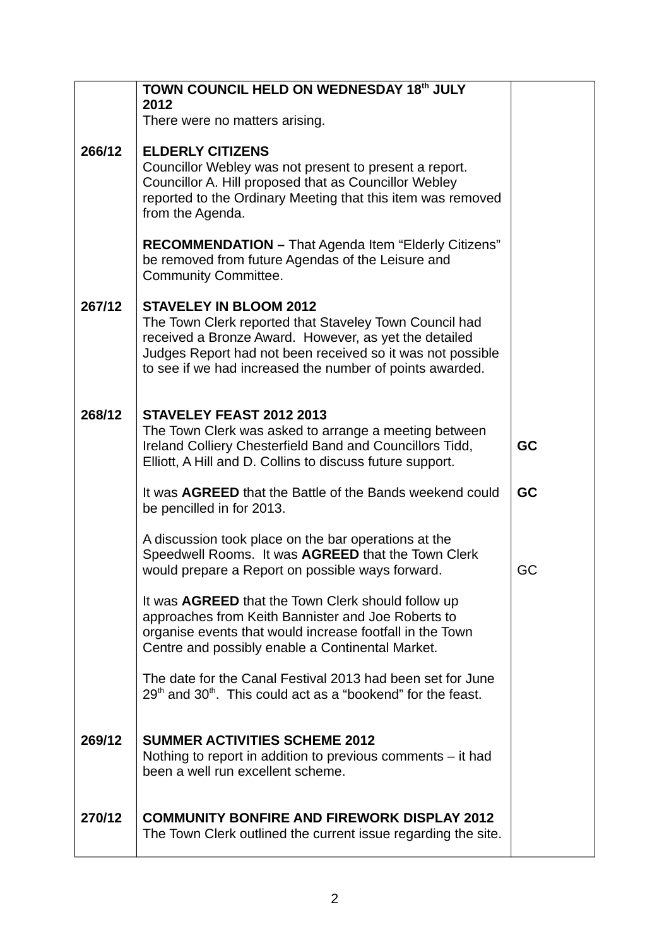|        | TOWN COUNCIL HELD ON WEDNESDAY 18th JULY<br>2012                                                                                                                                                                                                                           |    |
|--------|----------------------------------------------------------------------------------------------------------------------------------------------------------------------------------------------------------------------------------------------------------------------------|----|
|        | There were no matters arising.                                                                                                                                                                                                                                             |    |
| 266/12 | <b>ELDERLY CITIZENS</b>                                                                                                                                                                                                                                                    |    |
|        | Councillor Webley was not present to present a report.<br>Councillor A. Hill proposed that as Councillor Webley<br>reported to the Ordinary Meeting that this item was removed<br>from the Agenda.                                                                         |    |
|        | RECOMMENDATION - That Agenda Item "Elderly Citizens"<br>be removed from future Agendas of the Leisure and<br><b>Community Committee.</b>                                                                                                                                   |    |
| 267/12 | <b>STAVELEY IN BLOOM 2012</b><br>The Town Clerk reported that Staveley Town Council had<br>received a Bronze Award. However, as yet the detailed<br>Judges Report had not been received so it was not possible<br>to see if we had increased the number of points awarded. |    |
| 268/12 | STAVELEY FEAST 2012 2013<br>The Town Clerk was asked to arrange a meeting between<br>Ireland Colliery Chesterfield Band and Councillors Tidd,<br>Elliott, A Hill and D. Collins to discuss future support.                                                                 | GC |
|        | It was <b>AGREED</b> that the Battle of the Bands weekend could<br>be pencilled in for 2013.                                                                                                                                                                               | GC |
|        | A discussion took place on the bar operations at the<br>Speedwell Rooms. It was AGREED that the Town Clerk<br>would prepare a Report on possible ways forward.                                                                                                             | GC |
|        | It was <b>AGREED</b> that the Town Clerk should follow up<br>approaches from Keith Bannister and Joe Roberts to<br>organise events that would increase footfall in the Town<br>Centre and possibly enable a Continental Market.                                            |    |
|        | The date for the Canal Festival 2013 had been set for June<br>$29th$ and $30th$ . This could act as a "bookend" for the feast.                                                                                                                                             |    |
| 269/12 | <b>SUMMER ACTIVITIES SCHEME 2012</b><br>Nothing to report in addition to previous comments – it had<br>been a well run excellent scheme.                                                                                                                                   |    |
| 270/12 | <b>COMMUNITY BONFIRE AND FIREWORK DISPLAY 2012</b><br>The Town Clerk outlined the current issue regarding the site.                                                                                                                                                        |    |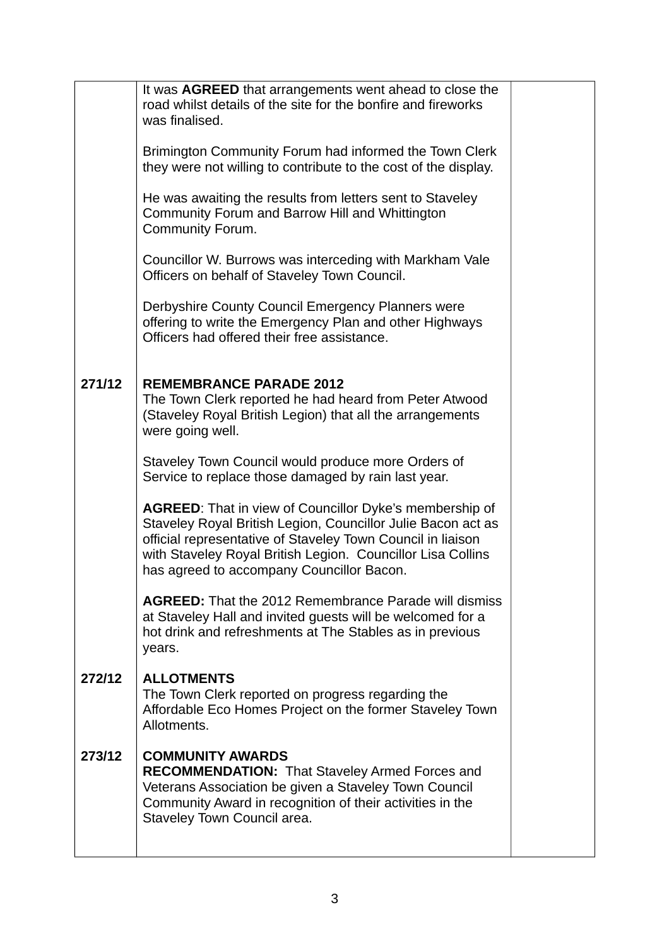|        | It was AGREED that arrangements went ahead to close the<br>road whilst details of the site for the bonfire and fireworks<br>was finalised.                                                                                                                                                         |  |
|--------|----------------------------------------------------------------------------------------------------------------------------------------------------------------------------------------------------------------------------------------------------------------------------------------------------|--|
|        | Brimington Community Forum had informed the Town Clerk<br>they were not willing to contribute to the cost of the display.                                                                                                                                                                          |  |
|        | He was awaiting the results from letters sent to Staveley<br>Community Forum and Barrow Hill and Whittington<br><b>Community Forum.</b>                                                                                                                                                            |  |
|        | Councillor W. Burrows was interceding with Markham Vale<br>Officers on behalf of Staveley Town Council.                                                                                                                                                                                            |  |
|        | Derbyshire County Council Emergency Planners were<br>offering to write the Emergency Plan and other Highways<br>Officers had offered their free assistance.                                                                                                                                        |  |
| 271/12 | <b>REMEMBRANCE PARADE 2012</b><br>The Town Clerk reported he had heard from Peter Atwood<br>(Staveley Royal British Legion) that all the arrangements<br>were going well.                                                                                                                          |  |
|        | Staveley Town Council would produce more Orders of<br>Service to replace those damaged by rain last year.                                                                                                                                                                                          |  |
|        | AGREED: That in view of Councillor Dyke's membership of<br>Staveley Royal British Legion, Councillor Julie Bacon act as<br>official representative of Staveley Town Council in liaison<br>with Staveley Royal British Legion. Councillor Lisa Collins<br>has agreed to accompany Councillor Bacon. |  |
|        | <b>AGREED:</b> That the 2012 Remembrance Parade will dismiss<br>at Staveley Hall and invited guests will be welcomed for a<br>hot drink and refreshments at The Stables as in previous<br>years.                                                                                                   |  |
| 272/12 | <b>ALLOTMENTS</b><br>The Town Clerk reported on progress regarding the<br>Affordable Eco Homes Project on the former Staveley Town<br>Allotments.                                                                                                                                                  |  |
| 273/12 | <b>COMMUNITY AWARDS</b><br><b>RECOMMENDATION: That Staveley Armed Forces and</b><br>Veterans Association be given a Staveley Town Council<br>Community Award in recognition of their activities in the<br>Staveley Town Council area.                                                              |  |
|        |                                                                                                                                                                                                                                                                                                    |  |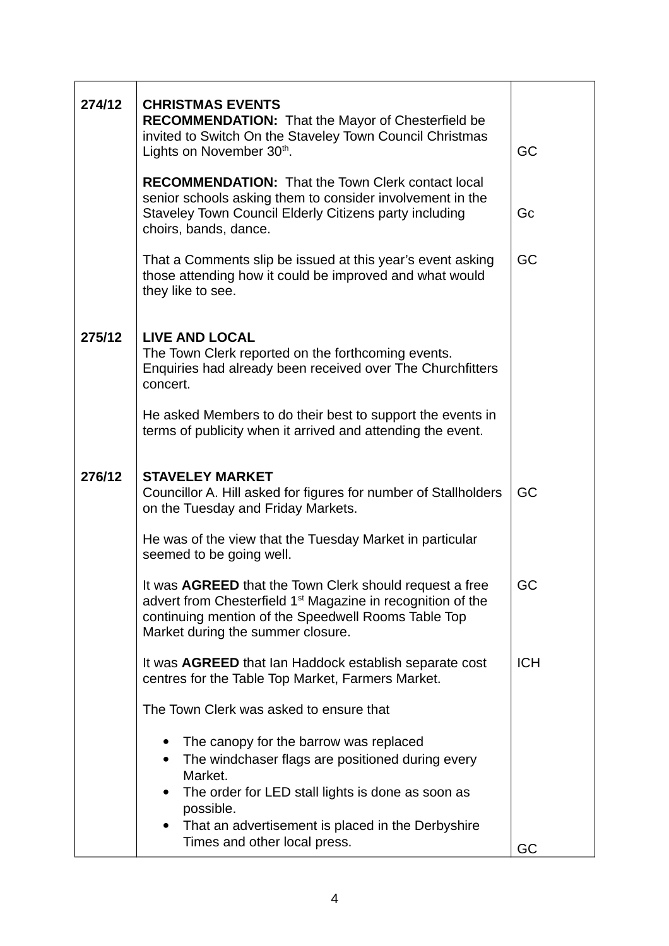| 274/12 | <b>CHRISTMAS EVENTS</b><br><b>RECOMMENDATION:</b> That the Mayor of Chesterfield be<br>invited to Switch On the Staveley Town Council Christmas<br>Lights on November 30th.                                                    | GC         |
|--------|--------------------------------------------------------------------------------------------------------------------------------------------------------------------------------------------------------------------------------|------------|
|        | <b>RECOMMENDATION: That the Town Clerk contact local</b><br>senior schools asking them to consider involvement in the<br>Staveley Town Council Elderly Citizens party including<br>choirs, bands, dance.                       | Gc         |
|        | That a Comments slip be issued at this year's event asking<br>those attending how it could be improved and what would<br>they like to see.                                                                                     | GC         |
| 275/12 | <b>LIVE AND LOCAL</b><br>The Town Clerk reported on the forthcoming events.<br>Enquiries had already been received over The Churchfitters<br>concert.                                                                          |            |
|        | He asked Members to do their best to support the events in<br>terms of publicity when it arrived and attending the event.                                                                                                      |            |
| 276/12 | <b>STAVELEY MARKET</b><br>Councillor A. Hill asked for figures for number of Stallholders<br>on the Tuesday and Friday Markets.                                                                                                | GC         |
|        | He was of the view that the Tuesday Market in particular<br>seemed to be going well.                                                                                                                                           |            |
|        | It was AGREED that the Town Clerk should request a free<br>advert from Chesterfield 1 <sup>st</sup> Magazine in recognition of the<br>continuing mention of the Speedwell Rooms Table Top<br>Market during the summer closure. | GC         |
|        | It was AGREED that Ian Haddock establish separate cost<br>centres for the Table Top Market, Farmers Market.                                                                                                                    | <b>ICH</b> |
|        | The Town Clerk was asked to ensure that                                                                                                                                                                                        |            |
|        | The canopy for the barrow was replaced<br>The windchaser flags are positioned during every<br>Market.<br>The order for LED stall lights is done as soon as<br>possible.<br>That an advertisement is placed in the Derbyshire   |            |
|        | Times and other local press.                                                                                                                                                                                                   | GC         |